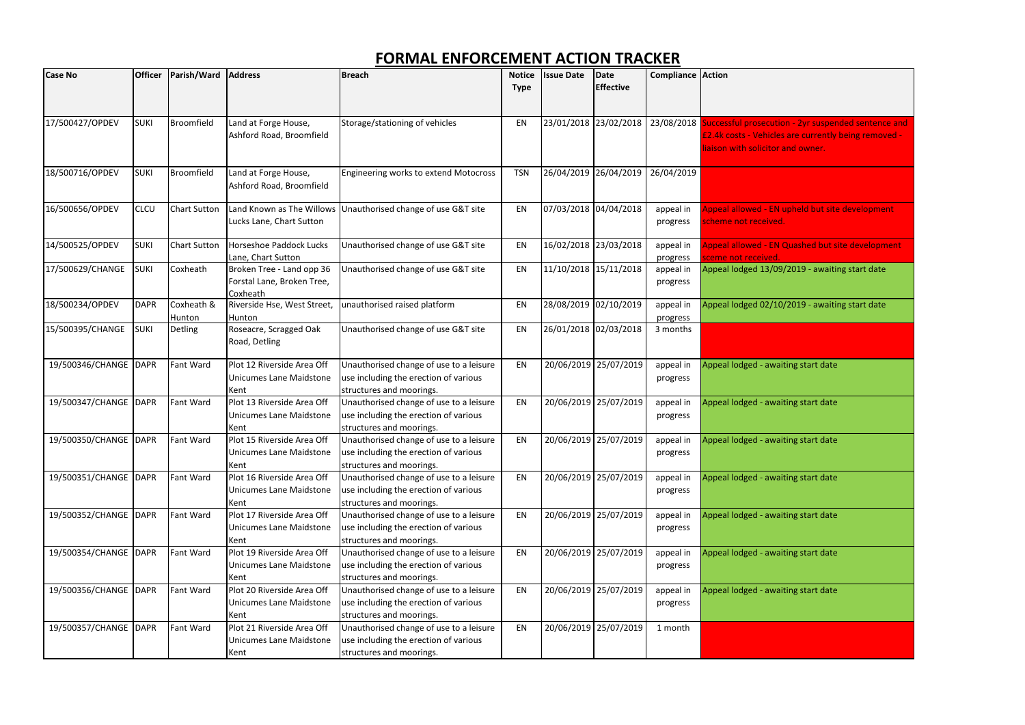| <b>Case No</b>          | <b>Officer</b> | Parish/Ward          | <b>Address</b>                                                      | Breach                                                                                                       | <b>Notice</b><br><b>Type</b> | <b>Issue Date</b> | <b>Date</b><br><b>Effective</b> | <b>Compliance Action</b> |                                                                                              |
|-------------------------|----------------|----------------------|---------------------------------------------------------------------|--------------------------------------------------------------------------------------------------------------|------------------------------|-------------------|---------------------------------|--------------------------|----------------------------------------------------------------------------------------------|
| 17/500427/OPDEV         | <b>SUKI</b>    | <b>Broomfield</b>    | Land at Forge House,<br>Ashford Road, Broomfield                    | Storage/stationing of vehicles                                                                               | EN                           |                   | 23/01/2018 23/02/2018           |                          | 23/08/2018 Successful prosecutio<br><b>£2.4k costs - Vehicles</b><br>iaison with solicitor a |
| 18/500716/OPDEV         | <b>SUKI</b>    | <b>Broomfield</b>    | Land at Forge House,<br>Ashford Road, Broomfield                    | Engineering works to extend Motocross                                                                        | <b>TSN</b>                   | 26/04/2019        | 26/04/2019                      | 26/04/2019               |                                                                                              |
| 16/500656/OPDEV         | <b>CLCU</b>    | <b>Chart Sutton</b>  | Land Known as The Willows<br>Lucks Lane, Chart Sutton               | Unauthorised change of use G&T site                                                                          | EN                           |                   | 07/03/2018 04/04/2018           | appeal in<br>progress    | <b>Appeal allowed - EN u</b><br>scheme not received.                                         |
| 14/500525/OPDEV         | <b>SUKI</b>    | <b>Chart Sutton</b>  | Horseshoe Paddock Lucks<br>Lane, Chart Sutton                       | Unauthorised change of use G&T site                                                                          | EN                           | 16/02/2018        | 23/03/2018                      | appeal in<br>progress    | Appeal allowed - EN 0<br>sceme not received.                                                 |
| 17/500629/CHANGE        | <b>SUKI</b>    | Coxheath             | Broken Tree - Land opp 36<br>Forstal Lane, Broken Tree,<br>Coxheath | Unauthorised change of use G&T site                                                                          | EN                           |                   | 11/10/2018 15/11/2018           | appeal in<br>progress    | Appeal lodged 13/09,                                                                         |
| 18/500234/OPDEV         | <b>DAPR</b>    | Coxheath &<br>Hunton | Riverside Hse, West Street,<br>Hunton                               | unauthorised raised platform                                                                                 | EN                           |                   | 28/08/2019 02/10/2019           | appeal in<br>progress    | Appeal lodged 02/10                                                                          |
| 15/500395/CHANGE        | <b>SUKI</b>    | Detling              | Roseacre, Scragged Oak<br>Road, Detling                             | Unauthorised change of use G&T site                                                                          | EN                           |                   | 26/01/2018 02/03/2018           | 3 months                 |                                                                                              |
| 19/500346/CHANGE   DAPR |                | Fant Ward            | Plot 12 Riverside Area Off<br>Unicumes Lane Maidstone<br>Kent       | Unauthorised change of use to a leisure<br>use including the erection of various<br>structures and moorings. | EN                           |                   | 20/06/2019 25/07/2019           | appeal in<br>progress    | Appeal lodged - await                                                                        |
| 19/500347/CHANGE        | <b>DAPR</b>    | Fant Ward            | Plot 13 Riverside Area Off<br>Unicumes Lane Maidstone<br>Kent       | Unauthorised change of use to a leisure<br>use including the erection of various<br>structures and moorings. | EN                           | 20/06/2019        | 25/07/2019                      | appeal in<br>progress    | Appeal lodged - await                                                                        |
| 19/500350/CHANGE   DAPR |                | Fant Ward            | Plot 15 Riverside Area Off<br>Unicumes Lane Maidstone<br>Kent       | Unauthorised change of use to a leisure<br>use including the erection of various<br>structures and moorings. | EN                           |                   | 20/06/2019 25/07/2019           | appeal in<br>progress    | Appeal lodged - await                                                                        |
| 19/500351/CHANGE DAPR   |                | Fant Ward            | Plot 16 Riverside Area Off<br>Unicumes Lane Maidstone<br>Kent       | Unauthorised change of use to a leisure<br>use including the erection of various<br>structures and moorings. | EN                           |                   | 20/06/2019 25/07/2019           | appeal in<br>progress    | Appeal lodged - await                                                                        |
| 19/500352/CHANGE DAPR   |                | Fant Ward            | Plot 17 Riverside Area Off<br>Unicumes Lane Maidstone<br>Kent       | Unauthorised change of use to a leisure<br>use including the erection of various<br>structures and moorings. | EN                           |                   | 20/06/2019 25/07/2019           | appeal in<br>progress    | Appeal lodged - await                                                                        |
| 19/500354/CHANGE DAPR   |                | Fant Ward            | Plot 19 Riverside Area Off<br>Unicumes Lane Maidstone<br>Kent       | Unauthorised change of use to a leisure<br>use including the erection of various<br>structures and moorings. | EN                           |                   | 20/06/2019 25/07/2019           | appeal in<br>progress    | Appeal lodged - await                                                                        |
| 19/500356/CHANGE   DAPR |                | Fant Ward            | Plot 20 Riverside Area Off<br>Unicumes Lane Maidstone<br>Kent       | Unauthorised change of use to a leisure<br>use including the erection of various<br>structures and moorings. | EN                           |                   | 20/06/2019 25/07/2019           | appeal in<br>progress    | Appeal lodged - await                                                                        |
| 19/500357/CHANGE   DAPR |                | Fant Ward            | Plot 21 Riverside Area Off<br>Unicumes Lane Maidstone<br>Kent       | Unauthorised change of use to a leisure<br>use including the erection of various<br>structures and moorings. | EN                           |                   | 20/06/2019 25/07/2019           | 1 month                  |                                                                                              |

tion - 2yr suspended sentence and es are currently being removed r and owner.

**N** upheld but site development

V Quashed but site development

/09/2019 - awaiting start date

 $/10/2019$  - awaiting start date

waiting start date

waiting start date

waiting start date

waiting start date

waiting start date

waiting start date

waiting start date

## **FORMAL ENFORCEMENT ACTION TRACKER**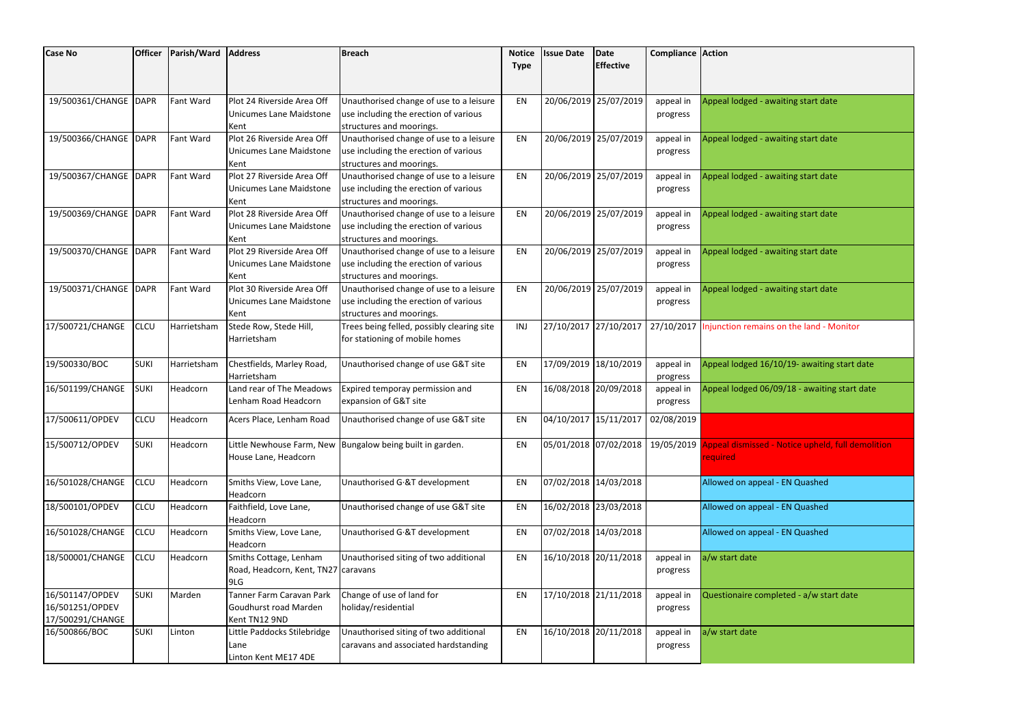| <b>Case No</b>        | <b>Officer</b> | Parish/Ward      | <b>Address</b>                      | <b>Breach</b>                                                       | <b>Notice</b> | <b>Issue Date</b>     | Date                  | <b>Compliance Action</b> |                                                              |
|-----------------------|----------------|------------------|-------------------------------------|---------------------------------------------------------------------|---------------|-----------------------|-----------------------|--------------------------|--------------------------------------------------------------|
|                       |                |                  |                                     |                                                                     | <b>Type</b>   |                       | <b>Effective</b>      |                          |                                                              |
|                       |                |                  |                                     |                                                                     |               |                       |                       |                          |                                                              |
| 19/500361/CHANGE DAPR |                | Fant Ward        | Plot 24 Riverside Area Off          | Unauthorised change of use to a leisure                             | EN            |                       | 20/06/2019 25/07/2019 | appeal in                | Appeal lodged - awaiting start date                          |
|                       |                |                  | <b>Unicumes Lane Maidstone</b>      | use including the erection of various                               |               |                       |                       | progress                 |                                                              |
|                       |                |                  | Kent                                | structures and moorings.                                            |               |                       |                       |                          |                                                              |
| 19/500366/CHANGE DAPR |                | Fant Ward        | Plot 26 Riverside Area Off          | Unauthorised change of use to a leisure                             | EN            |                       | 20/06/2019 25/07/2019 | appeal in                | Appeal lodged - awaiting start date                          |
|                       |                |                  | Unicumes Lane Maidstone             | use including the erection of various                               |               |                       |                       | progress                 |                                                              |
|                       |                |                  | Kent                                | structures and moorings.                                            |               |                       |                       |                          |                                                              |
| 19/500367/CHANGE DAPR |                | Fant Ward        | Plot 27 Riverside Area Off          | Unauthorised change of use to a leisure                             | EN            |                       | 20/06/2019 25/07/2019 | appeal in                | Appeal lodged - awaiting start date                          |
|                       |                |                  | Unicumes Lane Maidstone             | use including the erection of various                               |               |                       |                       | progress                 |                                                              |
|                       |                |                  | Kent                                | structures and moorings.                                            |               |                       |                       |                          |                                                              |
| 19/500369/CHANGE DAPR |                | Fant Ward        | Plot 28 Riverside Area Off          | Unauthorised change of use to a leisure                             | EN            |                       | 20/06/2019 25/07/2019 | appeal in                | Appeal lodged - awaiting start date                          |
|                       |                |                  | Unicumes Lane Maidstone             | use including the erection of various                               |               |                       |                       | progress                 |                                                              |
|                       |                |                  | Kent                                | structures and moorings.                                            |               |                       |                       |                          |                                                              |
| 19/500370/CHANGE DAPR |                | <b>Fant Ward</b> | Plot 29 Riverside Area Off          | Unauthorised change of use to a leisure                             | EN            |                       | 20/06/2019 25/07/2019 | appeal in                | Appeal lodged - awaiting start date                          |
|                       |                |                  | Unicumes Lane Maidstone<br>Kent     | use including the erection of various                               |               |                       |                       | progress                 |                                                              |
| 19/500371/CHANGE DAPR |                | Fant Ward        | Plot 30 Riverside Area Off          | structures and moorings.<br>Unauthorised change of use to a leisure | EN            |                       | 20/06/2019 25/07/2019 | appeal in                | Appeal lodged - awaiting start date                          |
|                       |                |                  | Unicumes Lane Maidstone             | use including the erection of various                               |               |                       |                       | progress                 |                                                              |
|                       |                |                  | Kent                                | structures and moorings.                                            |               |                       |                       |                          |                                                              |
| 17/500721/CHANGE      | <b>CLCU</b>    | Harrietsham      | Stede Row, Stede Hill,              | Trees being felled, possibly clearing site                          | INJ           | 27/10/2017 27/10/2017 |                       | 27/10/2017               | Injunction remains on the land - Monitor                     |
|                       |                |                  | Harrietsham                         | for stationing of mobile homes                                      |               |                       |                       |                          |                                                              |
|                       |                |                  |                                     |                                                                     |               |                       |                       |                          |                                                              |
| 19/500330/BOC         | <b>SUKI</b>    | Harrietsham      | Chestfields, Marley Road,           | Unauthorised change of use G&T site                                 | EN            |                       | 17/09/2019 18/10/2019 | appeal in                | Appeal lodged 16/10/19- awaiting start date                  |
|                       |                |                  | Harrietsham                         |                                                                     |               |                       |                       | progress                 |                                                              |
| 16/501199/CHANGE      | <b>SUKI</b>    | Headcorn         | Land rear of The Meadows            | Expired temporay permission and                                     | EN            |                       | 16/08/2018 20/09/2018 | appeal in                | Appeal lodged 06/09/18 - awaiting start date                 |
|                       |                |                  | Lenham Road Headcorn                | expansion of G&T site                                               |               |                       |                       | progress                 |                                                              |
| 17/500611/OPDEV       | <b>CLCU</b>    | Headcorn         | Acers Place, Lenham Road            | Unauthorised change of use G&T site                                 | EN            | 04/10/2017 15/11/2017 |                       | 02/08/2019               |                                                              |
|                       |                |                  |                                     |                                                                     |               |                       |                       |                          |                                                              |
| 15/500712/OPDEV       | <b>SUKI</b>    | Headcorn         | Little Newhouse Farm, New           | Bungalow being built in garden.                                     | EN            |                       | 05/01/2018 07/02/2018 |                          | 19/05/2019 Appeal dismissed - Notice upheld, full demolition |
|                       |                |                  | House Lane, Headcorn                |                                                                     |               |                       |                       |                          | <b>required</b>                                              |
|                       |                |                  |                                     |                                                                     |               |                       |                       |                          |                                                              |
| 16/501028/CHANGE      | <b>CLCU</b>    | Headcorn         | Smiths View, Love Lane,             | Unauthorised G &T development                                       | EN            | 07/02/2018 14/03/2018 |                       |                          | Allowed on appeal - EN Quashed                               |
|                       |                |                  | Headcorn                            |                                                                     |               |                       |                       |                          |                                                              |
| 18/500101/OPDEV       | <b>CLCU</b>    | Headcorn         | Faithfield, Love Lane,              | Unauthorised change of use G&T site                                 | EN            |                       | 16/02/2018 23/03/2018 |                          | Allowed on appeal - EN Quashed                               |
| 16/501028/CHANGE      | <b>CLCU</b>    | Headcorn         | Headcorn<br>Smiths View, Love Lane, | Unauthorised G.&T development                                       | EN            | 07/02/2018 14/03/2018 |                       |                          | Allowed on appeal - EN Quashed                               |
|                       |                |                  | Headcorn                            |                                                                     |               |                       |                       |                          |                                                              |
| 18/500001/CHANGE      | <b>CLCU</b>    | Headcorn         | Smiths Cottage, Lenham              | Unauthorised siting of two additional                               | EN            |                       | 16/10/2018 20/11/2018 | appeal in                | a/w start date                                               |
|                       |                |                  | Road, Headcorn, Kent, TN27 caravans |                                                                     |               |                       |                       | progress                 |                                                              |
|                       |                |                  | 9LG                                 |                                                                     |               |                       |                       |                          |                                                              |
| 16/501147/OPDEV       | <b>SUKI</b>    | Marden           | Tanner Farm Caravan Park            | Change of use of land for                                           | EN            |                       | 17/10/2018 21/11/2018 | appeal in                | Questionaire completed - a/w start date                      |
| 16/501251/OPDEV       |                |                  | Goudhurst road Marden               | holiday/residential                                                 |               |                       |                       | progress                 |                                                              |
| 17/500291/CHANGE      |                |                  | Kent TN12 9ND                       |                                                                     |               |                       |                       |                          |                                                              |
| 16/500866/BOC         | <b>SUKI</b>    | Linton           | Little Paddocks Stilebridge         | Unauthorised siting of two additional                               | EN            |                       | 16/10/2018 20/11/2018 | appeal in                | a/w start date                                               |
|                       |                |                  | Lane                                | caravans and associated hardstanding                                |               |                       |                       | progress                 |                                                              |
|                       |                |                  | Linton Kent ME17 4DE                |                                                                     |               |                       |                       |                          |                                                              |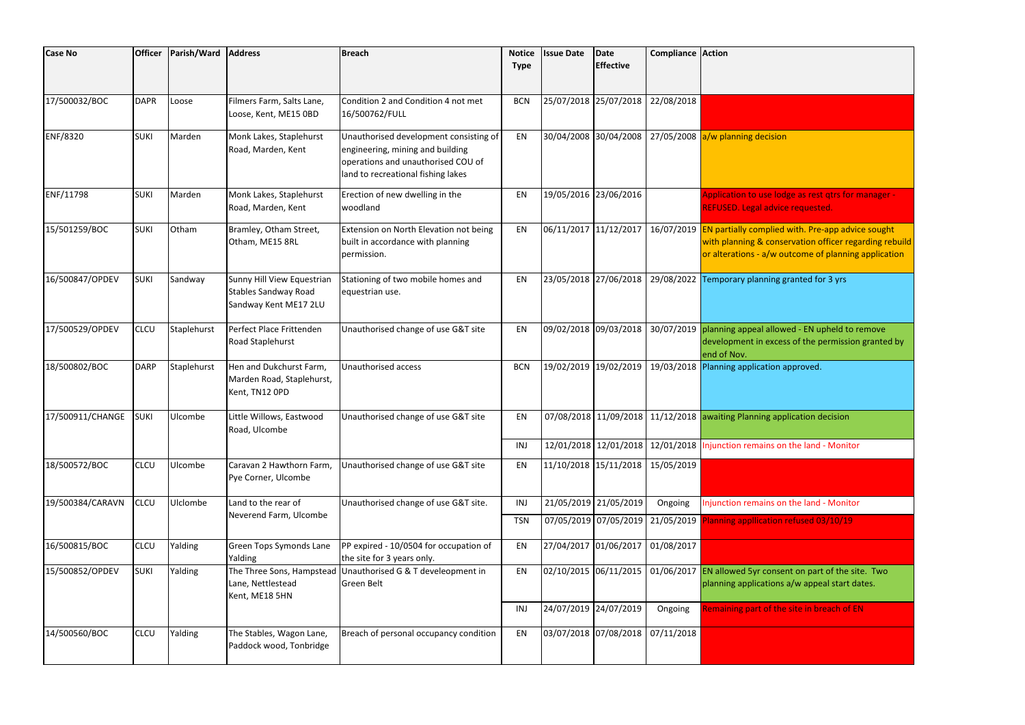| <b>Case No</b>   | <b>Officer</b> | Parish/Ward | <b>Address</b>                                                                     | <b>Breach</b>                                                                                                                                          | <b>Notice</b><br><b>Type</b> | <b>Issue Date</b>     | Date<br><b>Effective</b> | <b>Compliance Action</b> |                                                                                      |
|------------------|----------------|-------------|------------------------------------------------------------------------------------|--------------------------------------------------------------------------------------------------------------------------------------------------------|------------------------------|-----------------------|--------------------------|--------------------------|--------------------------------------------------------------------------------------|
| 17/500032/BOC    | <b>DAPR</b>    | Loose       | Filmers Farm, Salts Lane,<br>Loose, Kent, ME15 0BD                                 | Condition 2 and Condition 4 not met<br>16/500762/FULL                                                                                                  | <b>BCN</b>                   |                       | 25/07/2018 25/07/2018    | 22/08/2018               |                                                                                      |
| ENF/8320         | <b>SUKI</b>    | Marden      | Monk Lakes, Staplehurst<br>Road, Marden, Kent                                      | Unauthorised development consisting of<br>engineering, mining and building<br>operations and unauthorised COU of<br>land to recreational fishing lakes | EN                           |                       | 30/04/2008 30/04/2008    |                          | 27/05/2008 a/w planning decision                                                     |
| ENF/11798        | <b>SUKI</b>    | Marden      | Monk Lakes, Staplehurst<br>Road, Marden, Kent                                      | Erection of new dwelling in the<br>woodland                                                                                                            | EN                           |                       | 19/05/2016 23/06/2016    |                          | <b>Application to use lod</b><br><b>REFUSED. Legal advice</b>                        |
| 15/501259/BOC    | <b>SUKI</b>    | Otham       | Bramley, Otham Street,<br>Otham, ME15 8RL                                          | Extension on North Elevation not being<br>built in accordance with planning<br>permission.                                                             | EN                           | 06/11/2017 11/12/2017 |                          |                          | 16/07/2019 EN partially complied<br>with planning & conse<br>or alterations - a/w or |
| 16/500847/OPDEV  | <b>SUKI</b>    | Sandway     | Sunny Hill View Equestrian<br><b>Stables Sandway Road</b><br>Sandway Kent ME17 2LU | Stationing of two mobile homes and<br>equestrian use.                                                                                                  | EN                           |                       | 23/05/2018 27/06/2018    | 29/08/2022               | Temporary planning g                                                                 |
| 17/500529/OPDEV  | <b>CLCU</b>    | Staplehurst | Perfect Place Frittenden<br>Road Staplehurst                                       | Unauthorised change of use G&T site                                                                                                                    | EN                           |                       | 09/02/2018 09/03/2018    |                          | 30/07/2019 planning appeal allow<br>development in exces<br>end of Nov.              |
| 18/500802/BOC    | <b>DARP</b>    | Staplehurst | Hen and Dukchurst Farm,<br>Marden Road, Staplehurst,<br>Kent, TN12 OPD             | Unauthorised access                                                                                                                                    | <b>BCN</b>                   |                       | 19/02/2019 19/02/2019    |                          | 19/03/2018 Planning application a                                                    |
| 17/500911/CHANGE | <b>SUKI</b>    | Ulcombe     | Little Willows, Eastwood<br>Road, Ulcombe                                          | Unauthorised change of use G&T site                                                                                                                    | EN                           |                       |                          |                          | 07/08/2018 11/09/2018 11/12/2018 awaiting Planning app                               |
|                  |                |             |                                                                                    |                                                                                                                                                        | INJ                          |                       | 12/01/2018 12/01/2018    |                          | 12/01/2018 Injunction remains on                                                     |
| 18/500572/BOC    | CLCU           | Ulcombe     | Caravan 2 Hawthorn Farm,<br>Pye Corner, Ulcombe                                    | Unauthorised change of use G&T site                                                                                                                    | EN                           |                       | 11/10/2018 15/11/2018    | 15/05/2019               |                                                                                      |
| 19/500384/CARAVN | <b>CLCU</b>    | Ulclombe    | Land to the rear of                                                                | Unauthorised change of use G&T site.                                                                                                                   | INJ                          |                       | 21/05/2019 21/05/2019    | Ongoing                  | Injunction remains on                                                                |
|                  |                |             | Neverend Farm, Ulcombe                                                             |                                                                                                                                                        | <b>TSN</b>                   |                       |                          |                          | 07/05/2019 07/05/2019 21/05/2019 Planning appllication                               |
| 16/500815/BOC    | <b>CLCU</b>    | Yalding     | Green Tops Symonds Lane<br>Yalding                                                 | PP expired - 10/0504 for occupation of<br>the site for 3 years only.                                                                                   | EN                           |                       | 27/04/2017 01/06/2017    | 01/08/2017               |                                                                                      |
| 15/500852/OPDEV  | <b>SUKI</b>    | Yalding     | Lane, Nettlestead<br>Kent, ME18 5HN                                                | The Three Sons, Hampstead Unauthorised G & T develeopment in<br>Green Belt                                                                             | EN                           |                       | 02/10/2015 06/11/2015    |                          | 01/06/2017 EN allowed 5yr conser<br>planning applications                            |
|                  |                |             |                                                                                    |                                                                                                                                                        | INJ                          |                       | 24/07/2019 24/07/2019    | Ongoing                  | <b>Remaining part of the</b>                                                         |
| 14/500560/BOC    | <b>CLCU</b>    | Yalding     | The Stables, Wagon Lane,<br>Paddock wood, Tonbridge                                | Breach of personal occupancy condition                                                                                                                 | EN                           |                       | 03/07/2018 07/08/2018    | 07/11/2018               |                                                                                      |

Iodge as rest qtrs for manager - $\overline{\kappa}$ ice requested.  $\overline{\kappa}$ 

ied with. Pre-app advice sought  $\overline{\text{m}}$  phase refinal officer regarding rebuild  $\sim$  outcome of planning application

ng granted for 3 yrs

Unauthorised change of use EN upheld to remove  $\kappa$ cess of the permission granted by

 $\mathsf{on}$  approved.

application decision

Iound the land - Monitor

Ious 2015 2015 2016 21:05

on refused 03/10/19

nsent on part of the site. Two  $p$ ns a/w appeal start dates.

INAL 2019 24 and the site in breach of EN